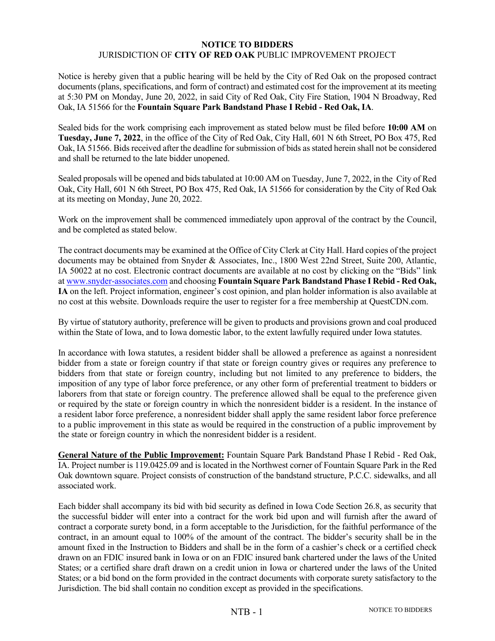## **NOTICE TO BIDDERS** JURISDICTION OF **CITY OF RED OAK** PUBLIC IMPROVEMENT PROJECT

Notice is hereby given that a public hearing will be held by the City of Red Oak on the proposed contract documents (plans, specifications, and form of contract) and estimated cost for the improvement at its meeting at 5:30 PM on Monday, June 20, 2022, in said City of Red Oak, City Fire Station, 1904 N Broadway, Red Oak, IA 51566 for the **Fountain Square Park Bandstand Phase I Rebid - Red Oak, IA**.

Sealed bids for the work comprising each improvement as stated below must be filed before **10:00 AM** on **Tuesday, June 7, 2022**, in the office of the City of Red Oak, City Hall, 601 N 6th Street, PO Box 475, Red Oak, IA 51566. Bids received after the deadline for submission of bids as stated herein shall not be considered and shall be returned to the late bidder unopened.

Sealed proposals will be opened and bids tabulated at 10:00 AM on Tuesday, June 7, 2022, in the City of Red Oak, City Hall, 601 N 6th Street, PO Box 475, Red Oak, IA 51566 for consideration by the City of Red Oak at its meeting on Monday, June 20, 2022.

Work on the improvement shall be commenced immediately upon approval of the contract by the Council, and be completed as stated below.

The contract documents may be examined at the Office of City Clerk at City Hall. Hard copies of the project documents may be obtained from Snyder & Associates, Inc., 1800 West 22nd Street, Suite 200, Atlantic, IA 50022 at no cost. Electronic contract documents are available at no cost by clicking on the "Bids" link at [www.snyder-associates.com](http://www.snyder-associates.com/) and choosing **Fountain Square Park Bandstand Phase I Rebid - Red Oak, IA** on the left. Project information, engineer's cost opinion, and plan holder information is also available at no cost at this website. Downloads require the user to register for a free membership at QuestCDN.com.

By virtue of statutory authority, preference will be given to products and provisions grown and coal produced within the State of Iowa, and to Iowa domestic labor, to the extent lawfully required under Iowa statutes.

In accordance with Iowa statutes, a resident bidder shall be allowed a preference as against a nonresident bidder from a state or foreign country if that state or foreign country gives or requires any preference to bidders from that state or foreign country, including but not limited to any preference to bidders, the imposition of any type of labor force preference, or any other form of preferential treatment to bidders or laborers from that state or foreign country. The preference allowed shall be equal to the preference given or required by the state or foreign country in which the nonresident bidder is a resident. In the instance of a resident labor force preference, a nonresident bidder shall apply the same resident labor force preference to a public improvement in this state as would be required in the construction of a public improvement by the state or foreign country in which the nonresident bidder is a resident.

**General Nature of the Public Improvement:** Fountain Square Park Bandstand Phase I Rebid - Red Oak, IA. Project number is 119.0425.09 and is located in the Northwest corner of Fountain Square Park in the Red Oak downtown square. Project consists of construction of the bandstand structure, P.C.C. sidewalks, and all associated work.

Each bidder shall accompany its bid with bid security as defined in Iowa Code Section 26.8, as security that the successful bidder will enter into a contract for the work bid upon and will furnish after the award of contract a corporate surety bond, in a form acceptable to the Jurisdiction, for the faithful performance of the contract, in an amount equal to 100% of the amount of the contract. The bidder's security shall be in the amount fixed in the Instruction to Bidders and shall be in the form of a cashier's check or a certified check drawn on an FDIC insured bank in Iowa or on an FDIC insured bank chartered under the laws of the United States; or a certified share draft drawn on a credit union in Iowa or chartered under the laws of the United States; or a bid bond on the form provided in the contract documents with corporate surety satisfactory to the Jurisdiction. The bid shall contain no condition except as provided in the specifications.